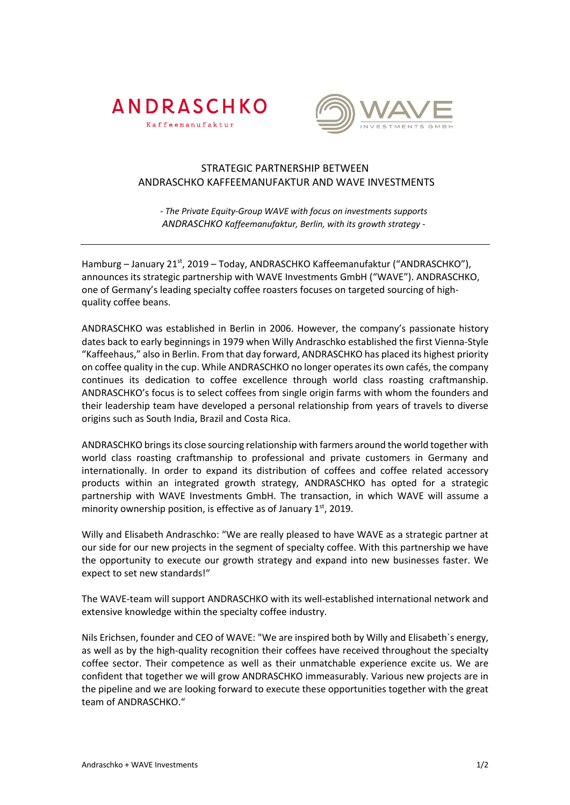



## STRATEGIC PARTNERSHIP BETWEEN ANDRASCHKO KAFFEEMANUFAKTUR AND WAVE INVESTMENTS

*- The Private Equity-Group WAVE with focus on investments supports ANDRASCHKO Kaffeemanufaktur, Berlin, with its growth strategy -*

Hamburg – January 21<sup>st</sup>, 2019 – Today, ANDRASCHKO Kaffeemanufaktur ("ANDRASCHKO"), announces its strategic partnership with WAVE Investments GmbH ("WAVE"). ANDRASCHKO, one of Germany's leading specialty coffee roasters focuses on targeted sourcing of highquality coffee beans.

ANDRASCHKO was established in Berlin in 2006. However, the company's passionate history dates back to early beginnings in 1979 when Willy Andraschko established the first Vienna-Style "Kaffeehaus," also in Berlin. From that day forward, ANDRASCHKO has placed its highest priority on coffee quality in the cup. While ANDRASCHKO no longer operatesits own cafés, the company continues its dedication to coffee excellence through world class roasting craftmanship. ANDRASCHKO's focus is to select coffees from single origin farms with whom the founders and their leadership team have developed a personal relationship from years of travels to diverse origins such as South India, Brazil and Costa Rica.

ANDRASCHKO brings its close sourcing relationship with farmers around the world together with world class roasting craftmanship to professional and private customers in Germany and internationally. In order to expand its distribution of coffees and coffee related accessory products within an integrated growth strategy, ANDRASCHKO has opted for a strategic partnership with WAVE Investments GmbH. The transaction, in which WAVE will assume a minority ownership position, is effective as of January  $1<sup>st</sup>$ , 2019.

Willy and Elisabeth Andraschko: "We are really pleased to have WAVE as a strategic partner at our side for our new projects in the segment of specialty coffee. With this partnership we have the opportunity to execute our growth strategy and expand into new businesses faster. We expect to set new standards!"

The WAVE-team will support ANDRASCHKO with its well-established international network and extensive knowledge within the specialty coffee industry.

Nils Erichsen, founder and CEO of WAVE: "We are inspired both by Willy and Elisabeth`s energy, as well as by the high-quality recognition their coffees have received throughout the specialty coffee sector. Their competence as well as their unmatchable experience excite us. We are confident that together we will grow ANDRASCHKO immeasurably. Various new projects are in the pipeline and we are looking forward to execute these opportunities together with the great team of ANDRASCHKO."